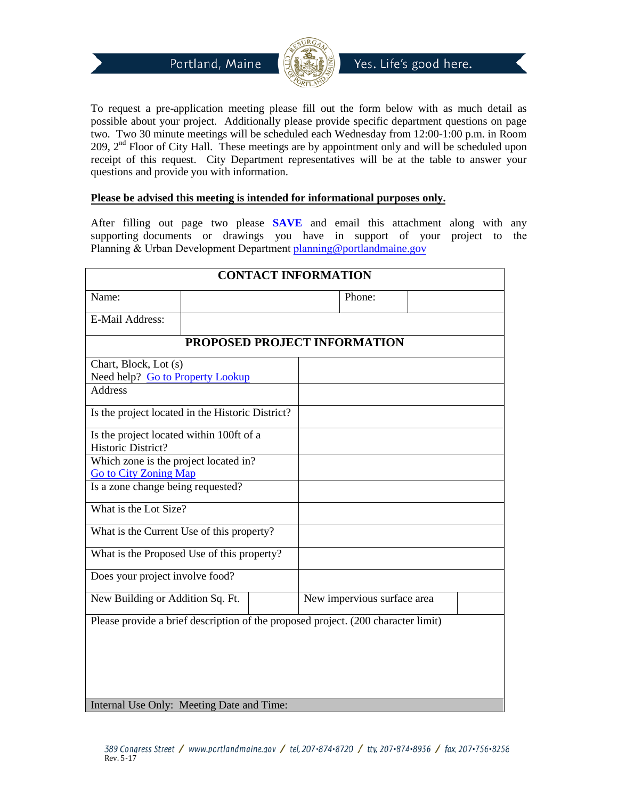



Yes. Life's good here.

To request a pre-application meeting please fill out the form below with as much detail as possible about your project. Additionally please provide specific department questions on page two. Two 30 minute meetings will be scheduled each Wednesday from 12:00-1:00 p.m. in Room  $209$ ,  $2<sup>nd</sup>$  Floor of City Hall. These meetings are by appointment only and will be scheduled upon receipt of this request. City Department representatives will be at the table to answer your questions and provide you with information.

## **Please be advised this meeting is intended for informational purposes only.**

After filling out page two please **SAVE** and email this attachment along with any supporting documents or drawings you have in support of your project to the Planning & Urban Development Department planning@portlandmaine.gov

| <b>CONTACT INFORMATION</b>                                                        |  |  |                             |  |  |  |
|-----------------------------------------------------------------------------------|--|--|-----------------------------|--|--|--|
| Name:                                                                             |  |  | Phone:                      |  |  |  |
| E-Mail Address:                                                                   |  |  |                             |  |  |  |
| PROPOSED PROJECT INFORMATION                                                      |  |  |                             |  |  |  |
| Chart, Block, Lot (s)                                                             |  |  |                             |  |  |  |
| Need help? Go to Property Lookup                                                  |  |  |                             |  |  |  |
| <b>Address</b>                                                                    |  |  |                             |  |  |  |
| Is the project located in the Historic District?                                  |  |  |                             |  |  |  |
| Is the project located within 100ft of a                                          |  |  |                             |  |  |  |
| Historic District?                                                                |  |  |                             |  |  |  |
| Which zone is the project located in?                                             |  |  |                             |  |  |  |
| <b>Go to City Zoning Map</b>                                                      |  |  |                             |  |  |  |
| Is a zone change being requested?                                                 |  |  |                             |  |  |  |
| What is the Lot Size?                                                             |  |  |                             |  |  |  |
| What is the Current Use of this property?                                         |  |  |                             |  |  |  |
| What is the Proposed Use of this property?                                        |  |  |                             |  |  |  |
| Does your project involve food?                                                   |  |  |                             |  |  |  |
| New Building or Addition Sq. Ft.                                                  |  |  | New impervious surface area |  |  |  |
| Please provide a brief description of the proposed project. (200 character limit) |  |  |                             |  |  |  |
|                                                                                   |  |  |                             |  |  |  |
|                                                                                   |  |  |                             |  |  |  |
|                                                                                   |  |  |                             |  |  |  |
|                                                                                   |  |  |                             |  |  |  |
|                                                                                   |  |  |                             |  |  |  |
| Internal Use Only: Meeting Date and Time:                                         |  |  |                             |  |  |  |